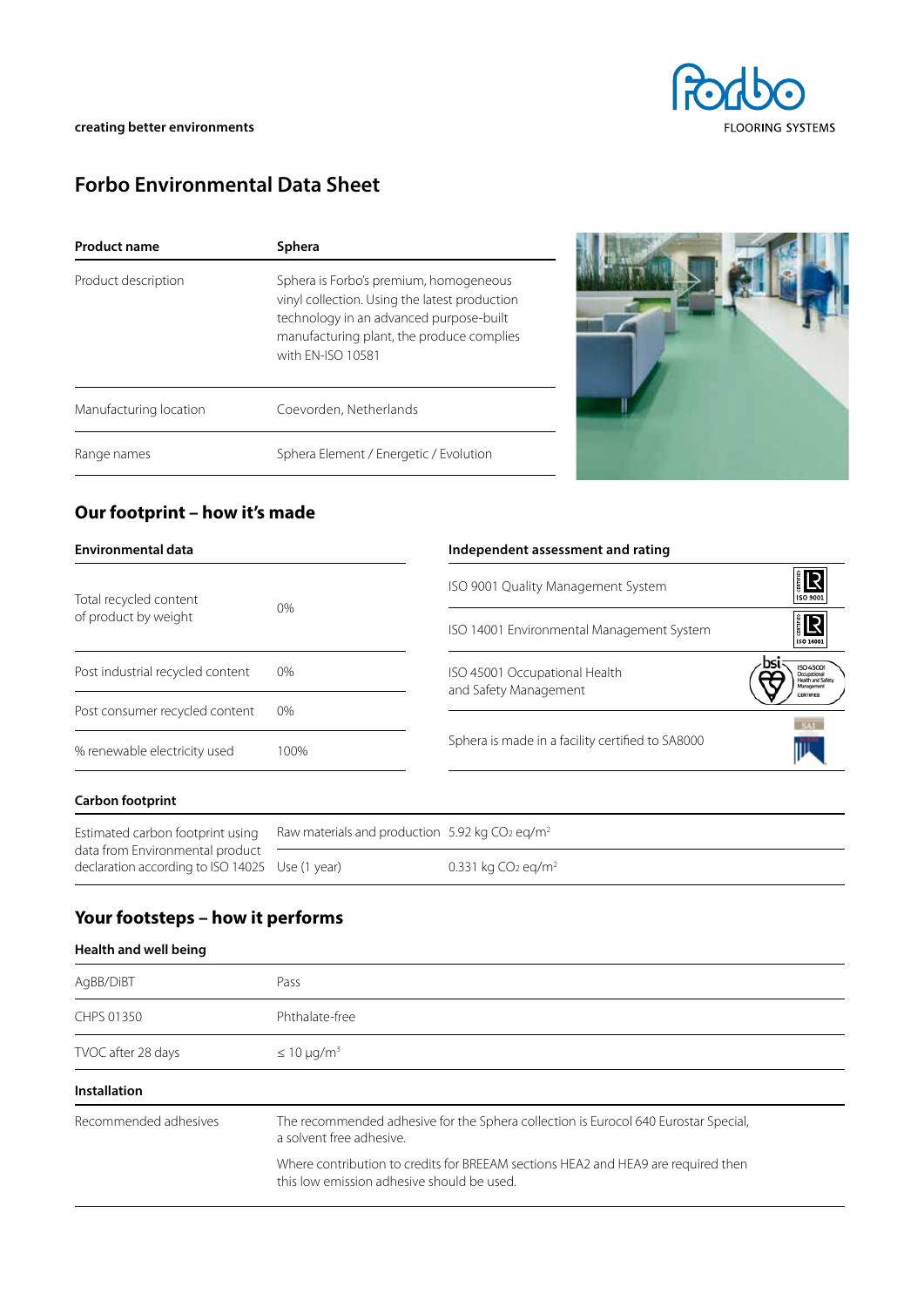

# **Forbo Environmental Data Sheet**

| Product name           | Sphera                                                                                                                                                                                               |  |  |  |
|------------------------|------------------------------------------------------------------------------------------------------------------------------------------------------------------------------------------------------|--|--|--|
| Product description    | Sphera is Forbo's premium, homogeneous<br>vinyl collection. Using the latest production<br>technology in an advanced purpose-built<br>manufacturing plant, the produce complies<br>with FN-ISO 10581 |  |  |  |
| Manufacturing location | Coevorden, Netherlands                                                                                                                                                                               |  |  |  |
| Range names            | Sphera Element / Energetic / Evolution                                                                                                                                                               |  |  |  |



### **Our footprint – how it's made**

| Environmental data               |       | Independent assessment and rating                      |                                                 |
|----------------------------------|-------|--------------------------------------------------------|-------------------------------------------------|
| Total recycled content           |       | ISO 9001 Quality Management System                     | ER  <br>ISO 9001                                |
| of product by weight             | 0%    | ISO 14001 Environmental Management System              | <b>ER</b><br>ISO 14001                          |
| Post industrial recycled content | $0\%$ | ISO 45001 Occupational Health<br>and Safety Management | <b>ISO 45001</b><br>salth and Safe<br>Managemen |
| Post consumer recycled content   | 0%    |                                                        |                                                 |
| % renewable electricity used     | 100%  | Sphera is made in a facility certified to SA8000       |                                                 |
|                                  |       |                                                        |                                                 |

#### **Carbon footprint**

| Estimated carbon footprint using<br>data from Environmental product<br>declaration according to ISO 14025 Use (1 year) | Raw materials and production 5.92 kg $CO2$ eg/m <sup>2</sup> |                                            |  |  |
|------------------------------------------------------------------------------------------------------------------------|--------------------------------------------------------------|--------------------------------------------|--|--|
|                                                                                                                        |                                                              | 0.331 kg CO <sub>2</sub> eg/m <sup>2</sup> |  |  |

## **Your footsteps – how it performs**

#### **Health and well being**

| AgBB/DiBT             | Pass                                                                                                                            |  |  |
|-----------------------|---------------------------------------------------------------------------------------------------------------------------------|--|--|
| CHPS 01350            | Phthalate-free                                                                                                                  |  |  |
| TVOC after 28 days    | $\leq 10 \mu q/m^3$                                                                                                             |  |  |
| <b>Installation</b>   |                                                                                                                                 |  |  |
| Recommended adhesives | The recommended adhesive for the Sphera collection is Eurocol 640 Eurostar Special,<br>a solvent free adhesive.                 |  |  |
|                       | Where contribution to credits for BREEAM sections HEA2 and HEA9 are required then<br>this low emission adhesive should be used. |  |  |